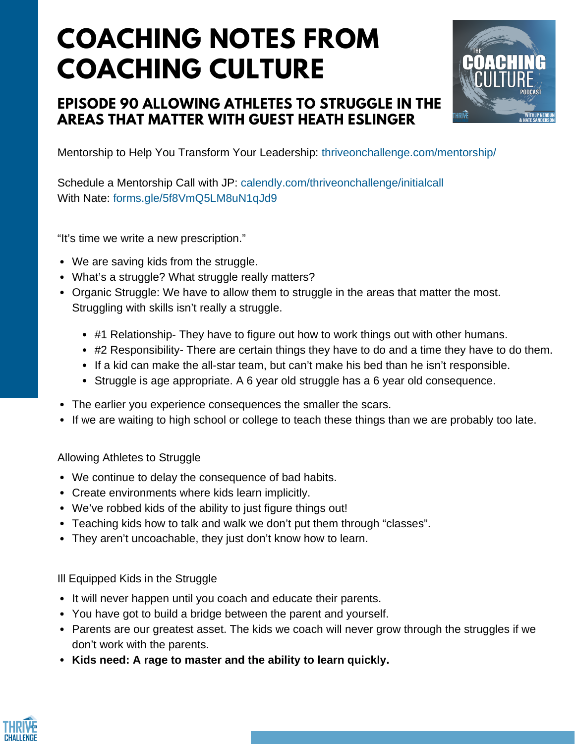# **COACHING NOTES FROM COACHING CULTURE**

## **EPISODE 90 ALLOWING ATHLETES TO STRUGGLE IN THE AREAS THAT MATTER WITH GUEST HEATH ESLINGER**



Mentorship to Help You Transform Your Leadership: [thriveonchallenge.com/mentorship/](https://thriveonchallenge.com/mentorship/)

Schedule a Mentorship Call with JP: <calendly.com/thriveonchallenge/initialcall> With Nate: <forms.gle/5f8VmQ5LM8uN1qJd9>

"It's time we write a new prescription."

- We are saving kids from the struggle.
- What's a struggle? What struggle really matters?
- Organic Struggle: We have to allow them to struggle in the areas that matter the most. Struggling with skills isn't really a struggle.
	- #1 Relationship- They have to figure out how to work things out with other humans.
	- #2 Responsibility- There are certain things they have to do and a time they have to do them.
	- If a kid can make the all-star team, but can't make his bed than he isn't responsible.
	- Struggle is age appropriate. A 6 year old struggle has a 6 year old consequence.
- The earlier you experience consequences the smaller the scars.
- If we are waiting to high school or college to teach these things than we are probably too late.

#### Allowing Athletes to Struggle

- We continue to delay the consequence of bad habits.
- Create environments where kids learn implicitly.
- We've robbed kids of the ability to just figure things out!
- Teaching kids how to talk and walk we don't put them through "classes".
- They aren't uncoachable, they just don't know how to learn.

### Ill Equipped Kids in the Struggle

- It will never happen until you coach and educate their parents.
- You have got to build a bridge between the parent and yourself.
- Parents are our greatest asset. The kids we coach will never grow through the struggles if we don't work with the parents.
- **Kids need: A rage to master and the ability to learn quickly.**